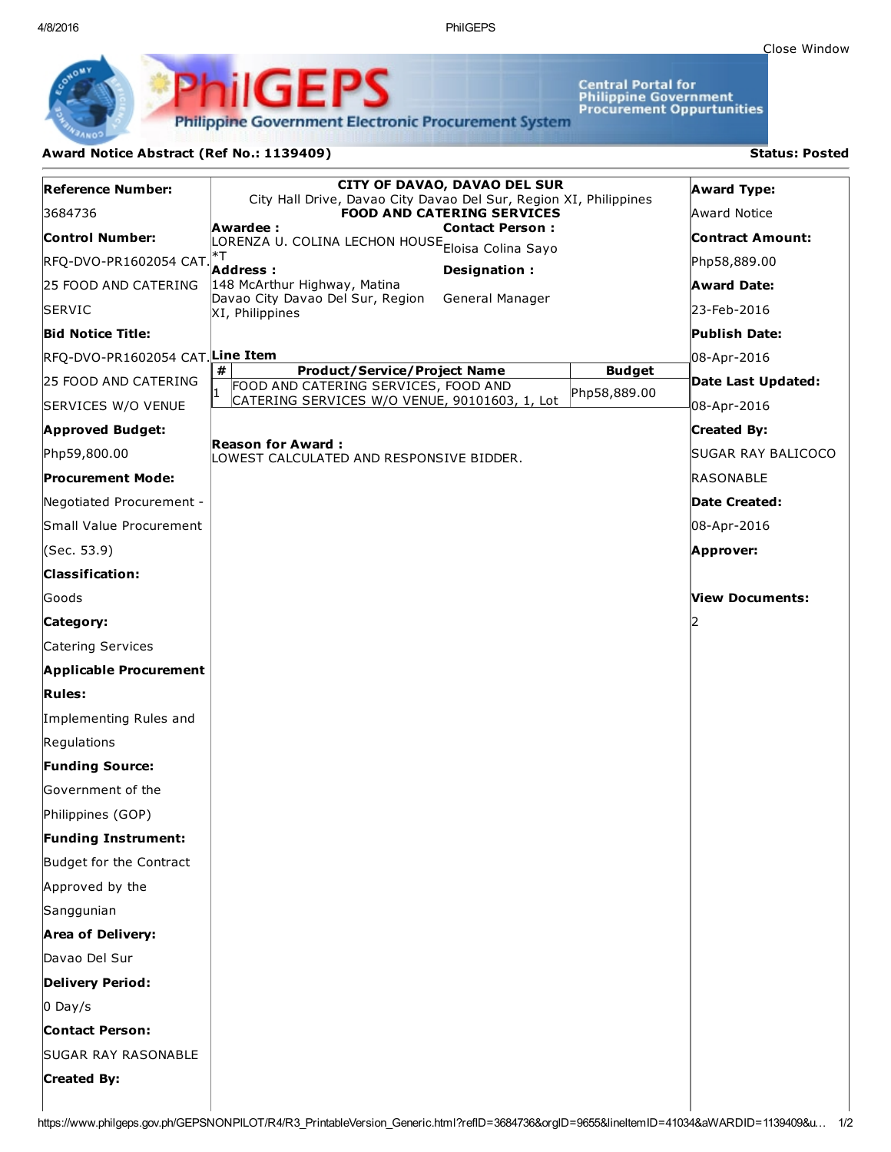4/8/2016 PhilGEPS

Central Portal for<br>Philippine Government<br>Procurement Oppurtunities

**Philippine Government Electronic Procurement System** 

PS

## Award Notice Abstract (Ref No.: 1139409) Status: Posted

PhilGEI

| <b>Reference Number:</b>        | <b>CITY OF DAVAO, DAVAO DEL SUR</b><br>City Hall Drive, Davao City Davao Del Sur, Region XI, Philippines<br><b>FOOD AND CATERING SERVICES</b><br>Awardee :<br><b>Contact Person:</b> |                               | <b>Award Type:</b>      |
|---------------------------------|--------------------------------------------------------------------------------------------------------------------------------------------------------------------------------------|-------------------------------|-------------------------|
| 3684736                         |                                                                                                                                                                                      |                               | Award Notice            |
| <b>Control Number:</b>          | LORENZA U. COLINA LECHON HOUSE <sub>Eloisa</sub> Colina Sayo                                                                                                                         |                               | <b>Contract Amount:</b> |
| RFQ-DVO-PR1602054 CAT.          | *Т<br>Address:<br>Designation:                                                                                                                                                       |                               | Php58,889.00            |
| 25 FOOD AND CATERING            | 148 McArthur Highway, Matina                                                                                                                                                         |                               | <b>Award Date:</b>      |
| <b>SERVIC</b>                   | Davao City Davao Del Sur, Region<br>General Manager<br>XI, Philippines                                                                                                               |                               | 23-Feb-2016             |
| <b>Bid Notice Title:</b>        |                                                                                                                                                                                      |                               | Publish Date:           |
| RFQ-DVO-PR1602054 CAT Line Item |                                                                                                                                                                                      |                               | 08-Apr-2016             |
| 25 FOOD AND CATERING            | #<br><b>Product/Service/Project Name</b><br>FOOD AND CATERING SERVICES, FOOD AND                                                                                                     | <b>Budget</b><br>Php58,889.00 | Date Last Updated:      |
| SERVICES W/O VENUE              | CATERING SERVICES W/O VENUE, 90101603, 1, Lot                                                                                                                                        |                               | 08-Apr-2016             |
| <b>Approved Budget:</b>         |                                                                                                                                                                                      |                               | <b>Created By:</b>      |
| Php59,800.00                    | Reason for Award :<br>LOWEST CALCULATED AND RESPONSIVE BIDDER.                                                                                                                       |                               | SUGAR RAY BALICOCO      |
| <b>Procurement Mode:</b>        |                                                                                                                                                                                      |                               | RASONABLE               |
| Negotiated Procurement -        |                                                                                                                                                                                      |                               | Date Created:           |
| Small Value Procurement         |                                                                                                                                                                                      |                               | 08-Apr-2016             |
| (Sec. 53.9)                     |                                                                                                                                                                                      |                               | Approver:               |
| <b>Classification:</b>          |                                                                                                                                                                                      |                               |                         |
| Goods                           |                                                                                                                                                                                      |                               | View Documents:         |
| Category:                       |                                                                                                                                                                                      |                               |                         |
| Catering Services               |                                                                                                                                                                                      |                               |                         |
| <b>Applicable Procurement</b>   |                                                                                                                                                                                      |                               |                         |
| <b>Rules:</b>                   |                                                                                                                                                                                      |                               |                         |
| Implementing Rules and          |                                                                                                                                                                                      |                               |                         |
| Regulations                     |                                                                                                                                                                                      |                               |                         |
| <b>Funding Source:</b>          |                                                                                                                                                                                      |                               |                         |
| Government of the               |                                                                                                                                                                                      |                               |                         |
| Philippines (GOP)               |                                                                                                                                                                                      |                               |                         |
| <b>Funding Instrument:</b>      |                                                                                                                                                                                      |                               |                         |
| Budget for the Contract         |                                                                                                                                                                                      |                               |                         |
| Approved by the                 |                                                                                                                                                                                      |                               |                         |
| Sanggunian                      |                                                                                                                                                                                      |                               |                         |
| <b>Area of Delivery:</b>        |                                                                                                                                                                                      |                               |                         |
| Davao Del Sur                   |                                                                                                                                                                                      |                               |                         |
| <b>Delivery Period:</b>         |                                                                                                                                                                                      |                               |                         |
| $0$ Day/s                       |                                                                                                                                                                                      |                               |                         |
| <b>Contact Person:</b>          |                                                                                                                                                                                      |                               |                         |
| <b>SUGAR RAY RASONABLE</b>      |                                                                                                                                                                                      |                               |                         |
| <b>Created By:</b>              |                                                                                                                                                                                      |                               |                         |
|                                 |                                                                                                                                                                                      |                               |                         |